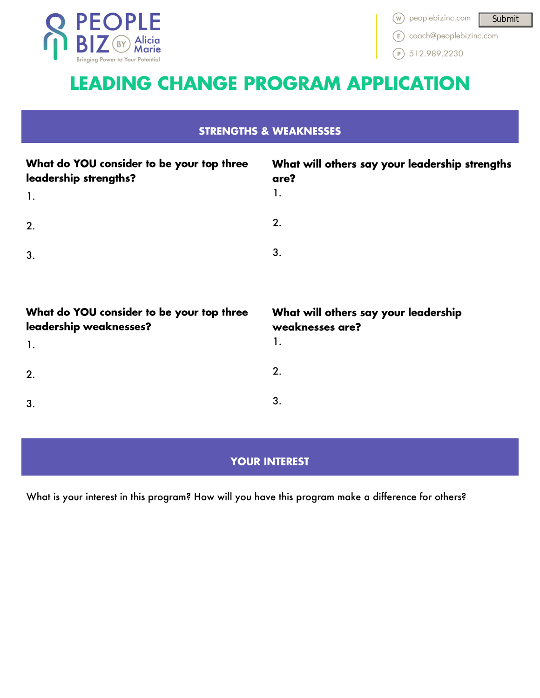

(E) coach@peoplebizinc.com

 $(P)$  512.989.2230

# **LEADING CHANGE PROGRAM APPLICATION**

## **STRENGTHS & WEAKNESSES**

| What do YOU consider to be your top three<br>leadership strengths?<br>$\mathbf{1}$ . | What will others say your leadership strengths<br>are?<br>1. |
|--------------------------------------------------------------------------------------|--------------------------------------------------------------|
| 2.                                                                                   | 2.                                                           |
| 3.                                                                                   | 3.                                                           |
|                                                                                      |                                                              |
| What do YOU consider to be your top three<br>leadership weaknesses?                  | What will others say your leadership<br>weaknesses are?      |
| 1.                                                                                   | 1.                                                           |
| 2.                                                                                   | 2.                                                           |
|                                                                                      |                                                              |

# **YOUR INTEREST**

What is your interest in this program? How will you have this program make a difference for others?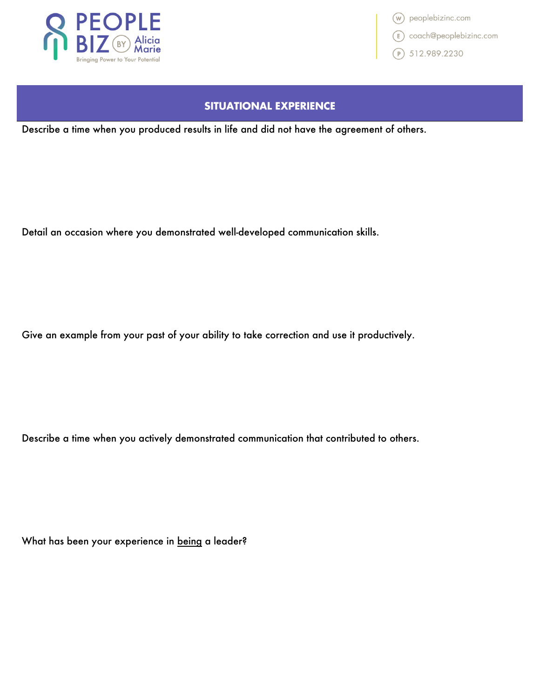

(w) peoplebizinc.com **E** coach@peoplebizinc.com  $P$ ) 512.989.2230

#### **SITUATIONAL EXPERIENCE**

Describe a time when you produced results in life and did not have the agreement of others.

Detail an occasion where you demonstrated well-developed communication skills.

Give an example from your past of your ability to take correction and use it productively.

Describe a time when you actively demonstrated communication that contributed to others.

What has been your experience in being a leader?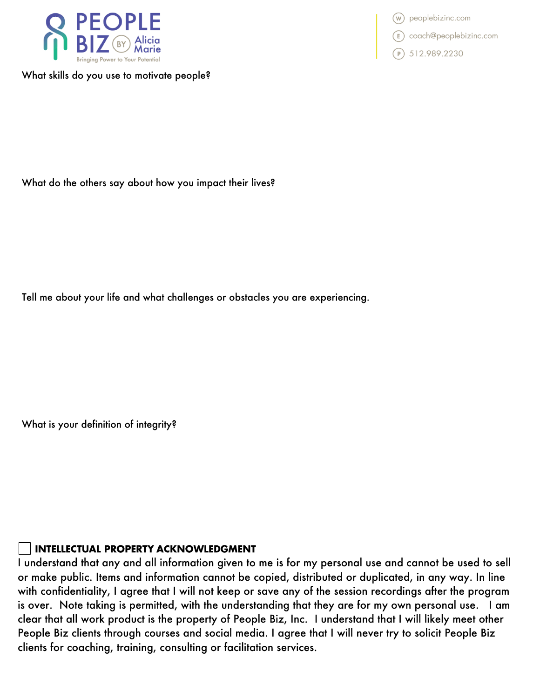

What skills do you use to motivate people?

(w) peoplebizinc.com<br>
(E) coach@peoplebizinc.com<br>
(C) 512.989.2230

What do the others say about how you impact their lives?

Tell me about your life and what challenges or obstacles you are experiencing.

What is your definition of integrity?

#### **INTELLECTUAL PROPERTY ACKNOWLEDGMENT**

I understand that any and all information given to me is for my personal use and cannot be used to sell or make public. Items and information cannot be copied, distributed or duplicated, in any way. In line with confidentiality, I agree that I will not keep or save any of the session recordings after the program is over. Note taking is permitted, with the understanding that they are for my own personal use. I am clear that all work product is the property of People Biz, Inc. I understand that I will likely meet other People Biz clients through courses and social media. I agree that I will never try to solicit People Biz clients for coaching, training, consulting or facilitation services.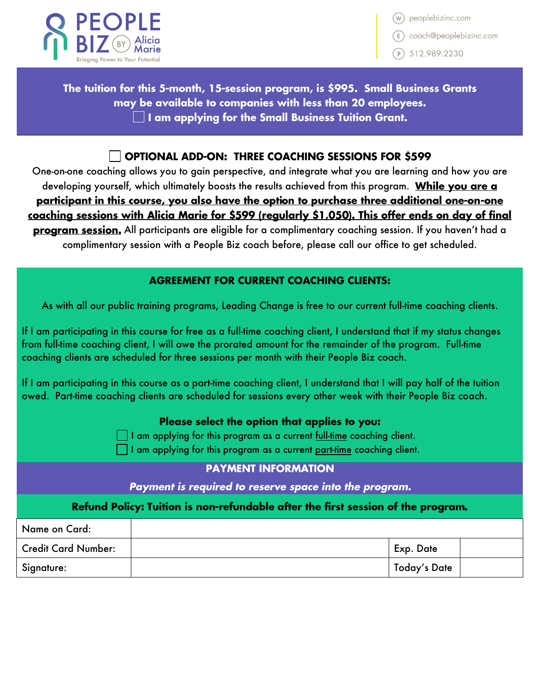

peoplebizinc.com

E coach@peoplebizinc.com

 $\binom{p}{3}$  512.989.2230

The tuition for this 5-month, 15-session program, is \$995. Small Business Grants may be available to companies with less than 20 employees.  $\Box$  I am applying for the Small Business Tuition Grant.

#### $\overline{\phantom{a}}$  Optional ADD-ON: THREE COACHING SESSIONS FOR \$599

One-on-one coaching allows you to gain perspective, and integrate what you are learning and how you are developing yourself, which ultimately boosts the results achieved from this program. While you are a participant in this course, you also have the option to purchase three additional one-on-one coaching sessions with Alicia Marie for \$599 (regularly \$1,050). This offer ends on day of final program session. All participants are eligible for a complimentary coaching session. If you haven't had a complimentary session with a People Biz coach before, please call our office to get scheduled.

#### **AGREEMENT FOR CURRENT COACHING CLIENTS:**

As with all our public training programs, Leading Change is free to our current full-time coaching clients.

If I am participating in this course for free as a full-time coaching client, I understand that if my status changes from full-time coaching client, I will owe the prorated amount for the remainder of the program. Full-time coaching clients are scheduled for three sessions per month with their People Biz coach.

If I am participating in this course as a part-time coaching client, I understand that I will pay half of the tuition owed. Part-time coaching clients are scheduled for sessions every other week with their People Biz coach.

#### Please select the option that applies to you:

 $\Box$  I am applying for this program as a current <u>full-time</u> coaching client.

I am applying for this program as a current part-time coaching client.

### **PAYMENT INFORMATION**

Payment is required to reserve space into the program.

#### Refund Policy: Tuition is non-refundable after the first session of the program.

| Name on Card:              |              |  |
|----------------------------|--------------|--|
| <b>Credit Card Number:</b> | Exp. Date    |  |
| Signature:                 | Today's Date |  |